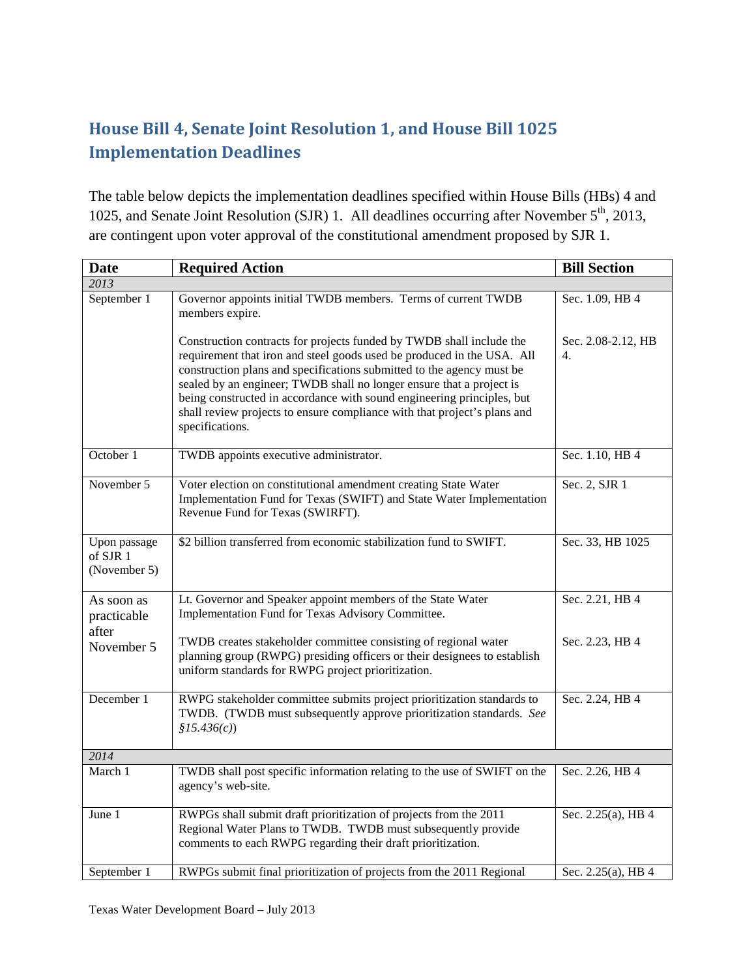## **House Bill 4, Senate Joint Resolution 1, and House Bill 1025 Implementation Deadlines**

The table below depicts the implementation deadlines specified within House Bills (HBs) 4 and 1025, and Senate Joint Resolution (SJR) 1. All deadlines occurring after November  $5<sup>th</sup>$ , 2013, are contingent upon voter approval of the constitutional amendment proposed by SJR 1.

| <b>Date</b>                              | <b>Required Action</b>                                                                                                                                                                                                                                                                                                                                                                                                                                                   | <b>Bill Section</b>      |  |
|------------------------------------------|--------------------------------------------------------------------------------------------------------------------------------------------------------------------------------------------------------------------------------------------------------------------------------------------------------------------------------------------------------------------------------------------------------------------------------------------------------------------------|--------------------------|--|
| 2013                                     |                                                                                                                                                                                                                                                                                                                                                                                                                                                                          |                          |  |
| September 1                              | Governor appoints initial TWDB members. Terms of current TWDB<br>members expire.                                                                                                                                                                                                                                                                                                                                                                                         | Sec. 1.09, HB 4          |  |
|                                          | Construction contracts for projects funded by TWDB shall include the<br>requirement that iron and steel goods used be produced in the USA. All<br>construction plans and specifications submitted to the agency must be<br>sealed by an engineer; TWDB shall no longer ensure that a project is<br>being constructed in accordance with sound engineering principles, but<br>shall review projects to ensure compliance with that project's plans and<br>specifications. | Sec. 2.08-2.12, HB<br>4. |  |
| October 1                                | TWDB appoints executive administrator.                                                                                                                                                                                                                                                                                                                                                                                                                                   | Sec. 1.10, HB 4          |  |
| November 5                               | Voter election on constitutional amendment creating State Water<br>Implementation Fund for Texas (SWIFT) and State Water Implementation<br>Revenue Fund for Texas (SWIRFT).                                                                                                                                                                                                                                                                                              | Sec. 2, SJR 1            |  |
| Upon passage<br>of SJR 1<br>(November 5) | \$2 billion transferred from economic stabilization fund to SWIFT.                                                                                                                                                                                                                                                                                                                                                                                                       | Sec. 33, HB 1025         |  |
| As soon as<br>practicable<br>after       | Lt. Governor and Speaker appoint members of the State Water<br>Implementation Fund for Texas Advisory Committee.                                                                                                                                                                                                                                                                                                                                                         | Sec. 2.21, HB 4          |  |
| November 5                               | TWDB creates stakeholder committee consisting of regional water<br>planning group (RWPG) presiding officers or their designees to establish<br>uniform standards for RWPG project prioritization.                                                                                                                                                                                                                                                                        | Sec. 2.23, HB 4          |  |
| December 1                               | RWPG stakeholder committee submits project prioritization standards to<br>TWDB. (TWDB must subsequently approve prioritization standards. See<br>\$15.436(c)                                                                                                                                                                                                                                                                                                             | Sec. 2.24, HB 4          |  |
| 2014                                     |                                                                                                                                                                                                                                                                                                                                                                                                                                                                          |                          |  |
| March 1                                  | TWDB shall post specific information relating to the use of SWIFT on the<br>agency's web-site.                                                                                                                                                                                                                                                                                                                                                                           | Sec. 2.26, HB 4          |  |
| June 1                                   | RWPGs shall submit draft prioritization of projects from the 2011<br>Regional Water Plans to TWDB. TWDB must subsequently provide<br>comments to each RWPG regarding their draft prioritization.                                                                                                                                                                                                                                                                         | Sec. 2.25(a), HB 4       |  |
| September 1                              | RWPGs submit final prioritization of projects from the 2011 Regional                                                                                                                                                                                                                                                                                                                                                                                                     | Sec. 2.25(a), HB 4       |  |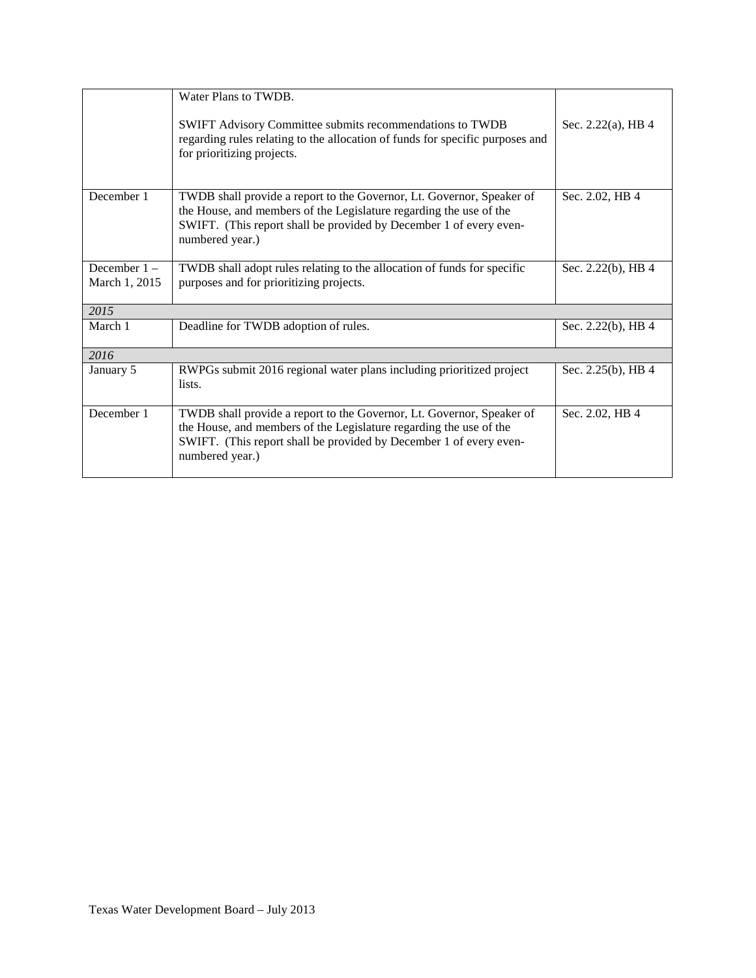|                                 | Water Plans to TWDB.                                                                                                                                                                                                                 |                       |  |
|---------------------------------|--------------------------------------------------------------------------------------------------------------------------------------------------------------------------------------------------------------------------------------|-----------------------|--|
|                                 | SWIFT Advisory Committee submits recommendations to TWDB<br>regarding rules relating to the allocation of funds for specific purposes and<br>for prioritizing projects.                                                              | Sec. 2.22(a), HB $4$  |  |
| December 1                      | TWDB shall provide a report to the Governor, Lt. Governor, Speaker of<br>the House, and members of the Legislature regarding the use of the<br>SWIFT. (This report shall be provided by December 1 of every even-<br>numbered year.) | Sec. 2.02, HB 4       |  |
| December $1 -$<br>March 1, 2015 | TWDB shall adopt rules relating to the allocation of funds for specific<br>purposes and for prioritizing projects.                                                                                                                   | Sec. 2.22(b), HB 4    |  |
| 2015                            |                                                                                                                                                                                                                                      |                       |  |
| March 1                         | Deadline for TWDB adoption of rules.                                                                                                                                                                                                 | Sec. 2.22(b), HB 4    |  |
| 2016                            |                                                                                                                                                                                                                                      |                       |  |
| January 5                       | RWPGs submit 2016 regional water plans including prioritized project<br>lists.                                                                                                                                                       | Sec. $2.25(b)$ , HB 4 |  |
| December 1                      | TWDB shall provide a report to the Governor, Lt. Governor, Speaker of<br>the House, and members of the Legislature regarding the use of the<br>SWIFT. (This report shall be provided by December 1 of every even-<br>numbered year.) | Sec. 2.02, HB 4       |  |